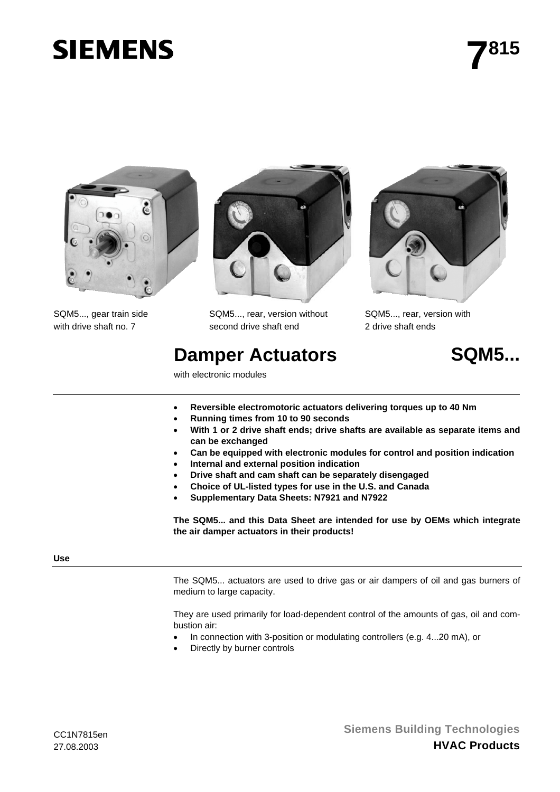# **SIEMENS**



SQM5..., gear train side with drive shaft no. 7



SQM5..., rear, version without second drive shaft end

# **Damper Actuators 6Damper Actuators 6Damper Actuators 6Damps...**

with electronic modules



SQM5..., rear, version with 2 drive shaft ends



- **Reversible electromotoric actuators delivering torques up to 40 Nm**
- **Running times from 10 to 90 seconds**
- **With 1 or 2 drive shaft ends; drive shafts are available as separate items and can be exchanged**
- **Can be equipped with electronic modules for control and position indication**
- **Internal and external position indication**
- **Drive shaft and cam shaft can be separately disengaged**
- **Choice of UL-listed types for use in the U.S. and Canada**
- **Supplementary Data Sheets: N7921 and N7922**

**The SQM5... and this Data Sheet are intended for use by OEMs which integrate the air damper actuators in their products!**

# **Use**

The SQM5... actuators are used to drive gas or air dampers of oil and gas burners of medium to large capacity.

They are used primarily for load-dependent control of the amounts of gas, oil and combustion air:

- In connection with 3-position or modulating controllers (e.g. 4...20 mA), or
- Directly by burner controls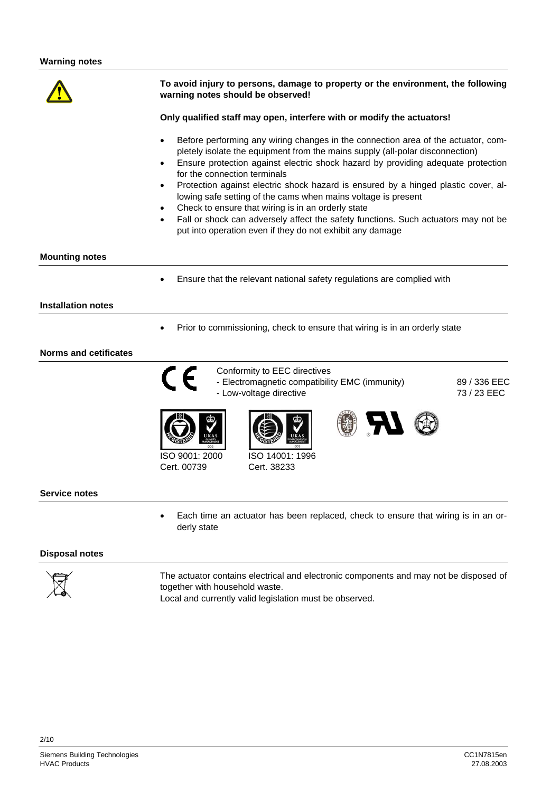**To avoid injury to persons, damage to property or the environment, the following warning notes should be observed! Only qualified staff may open, interfere with or modify the actuators!** • Before performing any wiring changes in the connection area of the actuator, completely isolate the equipment from the mains supply (all-polar disconnection) • Ensure protection against electric shock hazard by providing adequate protection for the connection terminals • Protection against electric shock hazard is ensured by a hinged plastic cover, allowing safe setting of the cams when mains voltage is present Check to ensure that wiring is in an orderly state Fall or shock can adversely affect the safety functions. Such actuators may not be put into operation even if they do not exhibit any damage **Mounting notes** • Ensure that the relevant national safety regulations are complied with **Installation notes** • Prior to commissioning, check to ensure that wiring is in an orderly state **Norms and cetificates** Conformity to EEC directives - Electromagnetic compatibility EMC (immunity) - Low-voltage directive 89 / 336 EEC 73 / 23 EEC ISO 9001: 2000 Cert. 00739 ISO 14001: 1996 Cert. 38233 **Service notes** • Each time an actuator has been replaced, check to ensure that wiring is in an orderly state

# **Disposal notes**



The actuator contains electrical and electronic components and may not be disposed of together with household waste.

Local and currently valid legislation must be observed.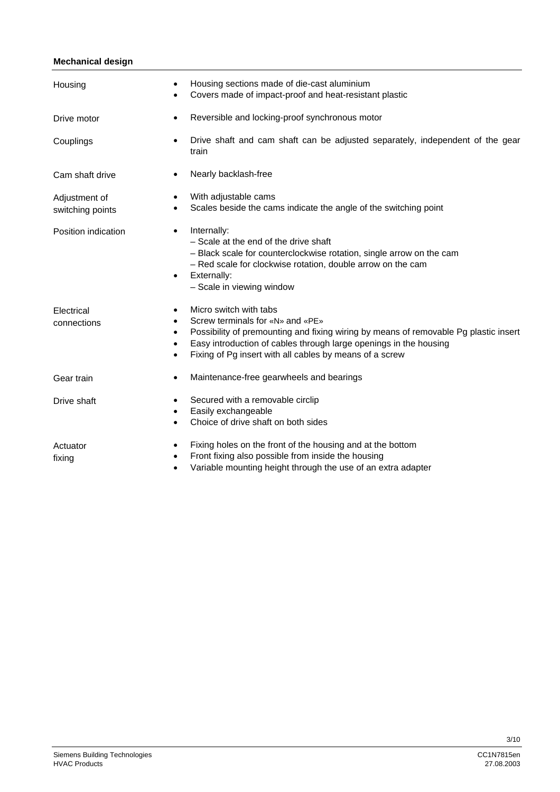#### **Mechanical design**

| Housing                           | Housing sections made of die-cast aluminium<br>٠<br>Covers made of impact-proof and heat-resistant plastic                                                                                                                                                                                                                  |
|-----------------------------------|-----------------------------------------------------------------------------------------------------------------------------------------------------------------------------------------------------------------------------------------------------------------------------------------------------------------------------|
| Drive motor                       | Reversible and locking-proof synchronous motor<br>$\bullet$                                                                                                                                                                                                                                                                 |
| Couplings                         | Drive shaft and cam shaft can be adjusted separately, independent of the gear<br>$\bullet$<br>train                                                                                                                                                                                                                         |
| Cam shaft drive                   | Nearly backlash-free<br>$\bullet$                                                                                                                                                                                                                                                                                           |
| Adjustment of<br>switching points | With adjustable cams<br>$\bullet$<br>Scales beside the cams indicate the angle of the switching point<br>٠                                                                                                                                                                                                                  |
| Position indication               | Internally:<br>$\bullet$<br>- Scale at the end of the drive shaft<br>- Black scale for counterclockwise rotation, single arrow on the cam<br>- Red scale for clockwise rotation, double arrow on the cam<br>Externally:<br>$\bullet$<br>- Scale in viewing window                                                           |
| Electrical<br>connections         | Micro switch with tabs<br>$\bullet$<br>Screw terminals for «N» and «PE»<br>٠<br>Possibility of premounting and fixing wiring by means of removable Pg plastic insert<br>$\bullet$<br>Easy introduction of cables through large openings in the housing<br>٠<br>Fixing of Pg insert with all cables by means of a screw<br>٠ |
| Gear train                        | Maintenance-free gearwheels and bearings<br>$\bullet$                                                                                                                                                                                                                                                                       |
| Drive shaft                       | Secured with a removable circlip<br>$\bullet$<br>Easily exchangeable<br>$\bullet$<br>Choice of drive shaft on both sides                                                                                                                                                                                                    |
| Actuator<br>fixing                | Fixing holes on the front of the housing and at the bottom<br>$\bullet$<br>Front fixing also possible from inside the housing<br>٠<br>Variable mounting height through the use of an extra adapter                                                                                                                          |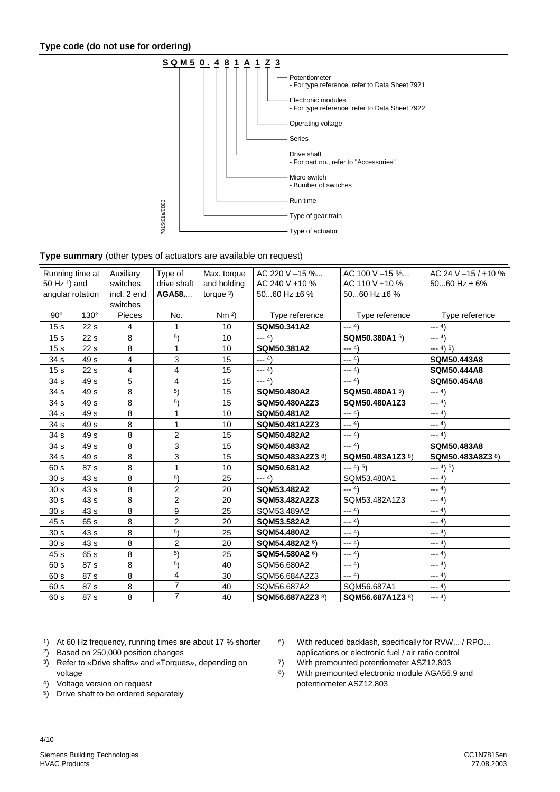

#### **Type summary** (other types of actuators are available on request)

| Running time at          |                 | Auxiliary     | Type of        | Max. torque     | AC 220 V -15 %             | AC 100 V-15 %     | AC 24 V -15 / +10 % |
|--------------------------|-----------------|---------------|----------------|-----------------|----------------------------|-------------------|---------------------|
| 50 Hz <sup>1</sup> ) and |                 | switches      | drive shaft    | and holding     | AC 240 V +10 %             | AC 110 V +10 %    | 5060 Hz $\pm$ 6%    |
| angular rotation         |                 | incl. 2 end   | AGA58          | torque $3$ )    | 5060 Hz ±6 %               | 5060 Hz $\pm 6$ % |                     |
|                          |                 | switches      |                |                 |                            |                   |                     |
| $90^\circ$               | $130^\circ$     | <b>Pieces</b> | No.            | Nm <sup>2</sup> | Type reference             | Type reference    | Type reference      |
| 15 <sub>s</sub>          | 22 <sub>s</sub> | 4             | 1              | 10              | SQM50.341A2                | $--- 4)$          | $--- 4)$            |
| 15 <sub>s</sub>          | 22 <sub>s</sub> | 8             | 5)             | 10              | $--- 4)$                   | SQM50.380A1 5)    | $--- 4)$            |
| 15 <sub>s</sub>          | 22 <sub>s</sub> | 8             | 1              | 10              | SQM50.381A2                | $--- 4)$          | $--- 4) 5)$         |
| 34 <sub>s</sub>          | 49 s            | 4             | 3              | 15              | $--- 4)$                   | $--- 4)$          | <b>SQM50.443A8</b>  |
| 15 <sub>s</sub>          | 22 <sub>s</sub> | 4             | 4              | 15              | $--- 4)$                   | $--- 4)$          | SQM50.444A8         |
| 34 <sub>s</sub>          | 49 s            | 5             | 4              | 15              | $--- 4)$                   | $--- 4)$          | <b>SQM50.454A8</b>  |
| 34 <sub>s</sub>          | 49 s            | 8             | 5)             | 15              | SQM50.480A2                | SQM50.480A1 5)    | $--- 4)$            |
| 34 <sub>s</sub>          | 49 s            | 8             | 5)             | 15              | SQM50.480A2Z3              | SQM50.480A1Z3     | $--- 4)$            |
| 34 s                     | 49 s            | 8             | 1              | 10              | SQM50.481A2                | $--- 4)$          | $--- 4)$            |
| 34 s                     | 49 s            | 8             | 1              | 10              | SQM50.481A2Z3              | $--- 4)$          | $--- 4)$            |
| 34 <sub>s</sub>          | 49 s            | 8             | $\overline{c}$ | 15              | SQM50.482A2                | $--- 4)$          | $--- 4)$            |
| 34 s                     | 49 s            | 8             | 3              | 15              | SQM50.483A2                | $--- 4)$          | <b>SQM50.483A8</b>  |
| 34 <sub>s</sub>          | 49 s            | 8             | 3              | 15              | SQM50.483A2Z3 8)           | SQM50.483A1Z3 8)  | SQM50.483A8Z3 8)    |
| 60 s                     | 87 s            | 8             | 1              | 10              | SQM50.681A2                | $--- 4) 5)$       | $--- 4) 5)$         |
| 30 <sub>s</sub>          | 43 s            | 8             | 5)             | 25              | $--- 4)$                   | SQM53.480A1       | $--- 4)$            |
| 30 <sub>s</sub>          | 43 s            | 8             | $\overline{c}$ | 20              | SQM53.482A2                | $--- 4)$          | $--- 4)$            |
| 30 <sub>s</sub>          | 43 s            | 8             | $\overline{2}$ | 20              | SQM53.482A2Z3              | SQM53.482A1Z3     | $--- 4)$            |
| 30 <sub>s</sub>          | 43 s            | 8             | 9              | 25              | SQM53.489A2                | $--- 4)$          | $--- 4)$            |
| 45 s                     | 65 s            | 8             | $\overline{2}$ | 20              | SQM53.582A2                | $--- 4)$          | $--- 4)$            |
| 30 <sub>s</sub>          | 43 s            | 8             | 5)             | 25              | <b>SQM54.480A2</b>         | $--- 4)$          | $--- 4)$            |
| 30 <sub>s</sub>          | 43 s            | 8             | $\overline{2}$ | 20              | SQM54.482A2 6)             | $--- 4)$          | $--- 4)$            |
| 45 s                     | 65 s            | 8             | 5)             | 25              | SQM54.580A2 <sup>6</sup> ) | $--- 4)$          | $--- 4)$            |
| 60 s                     | 87 s            | 8             | 5)             | 40              | SQM56.680A2                | $--- 4)$          | $--- 4)$            |
| 60 s                     | 87 s            | 8             | 4              | 30              | SQM56.684A2Z3              | $--- 4)$          | $--- 4)$            |
| 60 s                     | 87 s            | 8             | $\overline{7}$ | 40              | SQM56.687A2                | SQM56.687A1       | $--- 4)$            |
| 60 s                     | 87 s            | 8             | $\overline{7}$ | 40              | SQM56.687A2Z3 8)           | SQM56.687A1Z3 8)  | $--- 4)$            |

1) At 60 Hz frequency, running times are about 17 % shorter 6) With reduced backlash, specifically for RVW... / RPO...

- <sup>2</sup>) Based on 250,000 position changes applications or electronic fuel / air ratio control
- <sup>3</sup>) Refer to «Drive shafts» and «Torques», depending on  $\begin{array}{ccc} 7 & \text{With pre mounted potentiometer ASZ12.803} \\ \text{8} & \text{With pre mounted electronic module AGA56.} \end{array}$
- 
- 5) Drive shaft to be ordered separately
- 
- 
- 
- 8) With premounted electronic module AGA56.9 and 4) Voltage version on request **potentiometer ASZ12.803**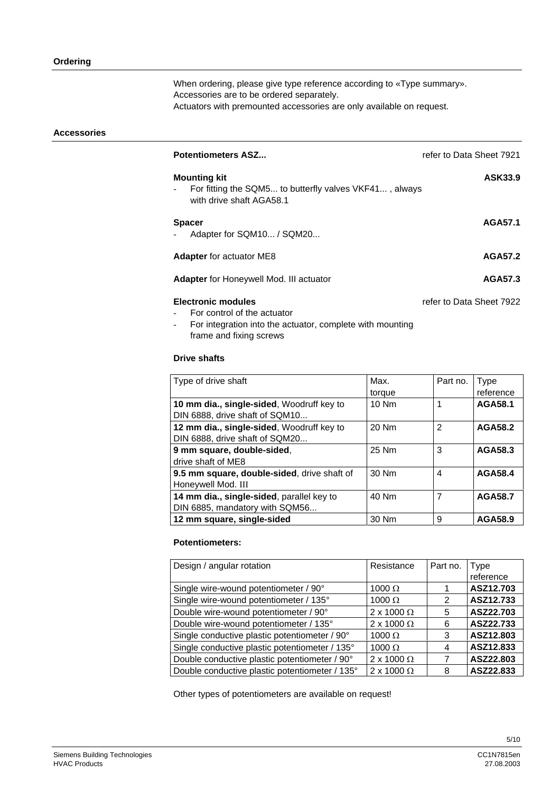When ordering, please give type reference according to «Type summary». Accessories are to be ordered separately. Actuators with premounted accessories are only available on request.

#### **Accessories**

| <b>Potentiometers ASZ</b>                                                                                 | refer to Data Sheet 7921 |
|-----------------------------------------------------------------------------------------------------------|--------------------------|
| <b>Mounting kit</b><br>For fitting the SQM5 to butterfly valves VKF41, always<br>with drive shaft AGA58.1 | ASK33.9                  |
| <b>Spacer</b><br>Adapter for SQM10 / SQM20                                                                | AGA57.1                  |
| <b>Adapter for actuator ME8</b>                                                                           | <b>AGA57.2</b>           |
| <b>Adapter</b> for Honeywell Mod. III actuator                                                            | AGA57.3                  |
| <b>Electronic modules</b>                                                                                 | refer to Data Sheet 7922 |

- For control of the actuator
	- For integration into the actuator, complete with mounting frame and fixing screws

# **Drive shafts**

| Type of drive shaft                         | Max.   | Part no.       | <b>Type</b><br>reference |
|---------------------------------------------|--------|----------------|--------------------------|
|                                             | torque |                |                          |
| 10 mm dia., single-sided, Woodruff key to   | 10 Nm  |                | <b>AGA58.1</b>           |
| DIN 6888, drive shaft of SQM10              |        |                |                          |
| 12 mm dia., single-sided, Woodruff key to   | 20 Nm  | $\mathfrak{p}$ | <b>AGA58.2</b>           |
| DIN 6888, drive shaft of SQM20              |        |                |                          |
| 9 mm square, double-sided,                  | 25 Nm  | 3              | AGA58.3                  |
| drive shaft of ME8                          |        |                |                          |
| 9.5 mm square, double-sided, drive shaft of | 30 Nm  | 4              | <b>AGA58.4</b>           |
| Honeywell Mod. III                          |        |                |                          |
| 14 mm dia., single-sided, parallel key to   | 40 Nm  | 7              | <b>AGA58.7</b>           |
| DIN 6885, mandatory with SQM56              |        |                |                          |
| 12 mm square, single-sided                  | 30 Nm  | 9              | AGA58.9                  |

# **Potentiometers:**

| Design / angular rotation                      | Resistance             | Part no. | Type<br>reference |
|------------------------------------------------|------------------------|----------|-------------------|
| Single wire-wound potentiometer / 90°          | 1000 $\Omega$          |          | ASZ12.703         |
| Single wire-wound potentiometer / 135°         | 1000 $\Omega$          | 2        | ASZ12.733         |
| Double wire-wound potentiometer / 90°          | $2 \times 1000 \Omega$ | 5        | ASZ22.703         |
| Double wire-wound potentiometer / 135°         | 2 x 1000 $\Omega$      | 6        | ASZ22.733         |
| Single conductive plastic potentiometer / 90°  | $1000 \Omega$          | 3        | ASZ12.803         |
| Single conductive plastic potentiometer / 135° | 1000 $\Omega$          | 4        | ASZ12.833         |
| Double conductive plastic potentiometer / 90°  | 2 x 1000 $\Omega$      | 7        | ASZ22.803         |
| Double conductive plastic potentiometer / 135° | 2 x 1000 $\Omega$      | 8        | ASZ22.833         |

Other types of potentiometers are available on request!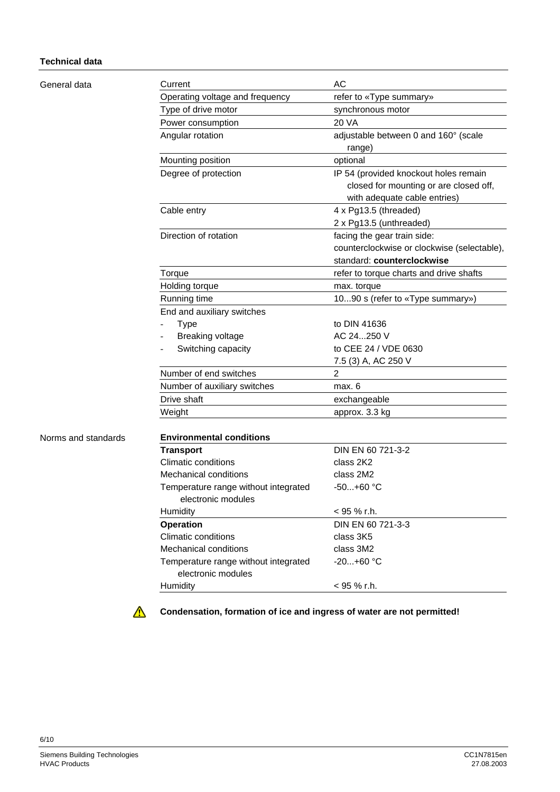# **Technical data**

General data

| Current                                                    | AC                                                                                                              |
|------------------------------------------------------------|-----------------------------------------------------------------------------------------------------------------|
| Operating voltage and frequency                            | refer to «Type summary»                                                                                         |
| Type of drive motor                                        | synchronous motor                                                                                               |
| Power consumption                                          | <b>20 VA</b>                                                                                                    |
| Angular rotation                                           | adjustable between 0 and 160° (scale<br>range)                                                                  |
| Mounting position                                          | optional                                                                                                        |
| Degree of protection                                       | IP 54 (provided knockout holes remain<br>closed for mounting or are closed off,<br>with adequate cable entries) |
| Cable entry                                                | 4 x Pg13.5 (threaded)                                                                                           |
|                                                            | 2 x Pg13.5 (unthreaded)                                                                                         |
| Direction of rotation                                      | facing the gear train side:                                                                                     |
|                                                            | counterclockwise or clockwise (selectable),                                                                     |
|                                                            | standard: counterclockwise                                                                                      |
| Torque                                                     | refer to torque charts and drive shafts                                                                         |
| Holding torque                                             | max. torque                                                                                                     |
| Running time                                               | 1090 s (refer to «Type summary»)                                                                                |
| End and auxiliary switches                                 |                                                                                                                 |
| <b>Type</b>                                                | to DIN 41636                                                                                                    |
| <b>Breaking voltage</b>                                    | AC 24250 V                                                                                                      |
| Switching capacity                                         | to CEE 24 / VDE 0630                                                                                            |
|                                                            | 7.5 (3) A, AC 250 V                                                                                             |
| Number of end switches                                     | $\overline{2}$                                                                                                  |
| Number of auxiliary switches                               | max. 6                                                                                                          |
| Drive shaft                                                | exchangeable                                                                                                    |
| Weight                                                     | approx. 3.3 kg                                                                                                  |
| <b>Environmental conditions</b>                            |                                                                                                                 |
| <b>Transport</b>                                           | DIN EN 60 721-3-2                                                                                               |
| <b>Climatic conditions</b>                                 | class 2K2                                                                                                       |
| <b>Mechanical conditions</b>                               | class 2M2                                                                                                       |
| Temperature range without integrated<br>electronic modules | -50+60 °C                                                                                                       |
| Humidity                                                   | < 95 % r.h.                                                                                                     |
| <b>Operation</b>                                           | DIN EN 60 721-3-3                                                                                               |
| <b>Climatic conditions</b>                                 | class 3K5                                                                                                       |
| <b>Mechanical conditions</b>                               | class 3M2                                                                                                       |
| Temperature range without integrated<br>electronic modules | $-20+60 °C$                                                                                                     |
| Humidity                                                   | < 95 % r.h.                                                                                                     |

 $\Delta$ 

**Condensation, formation of ice and ingress of water are not permitted!**

Norms and standards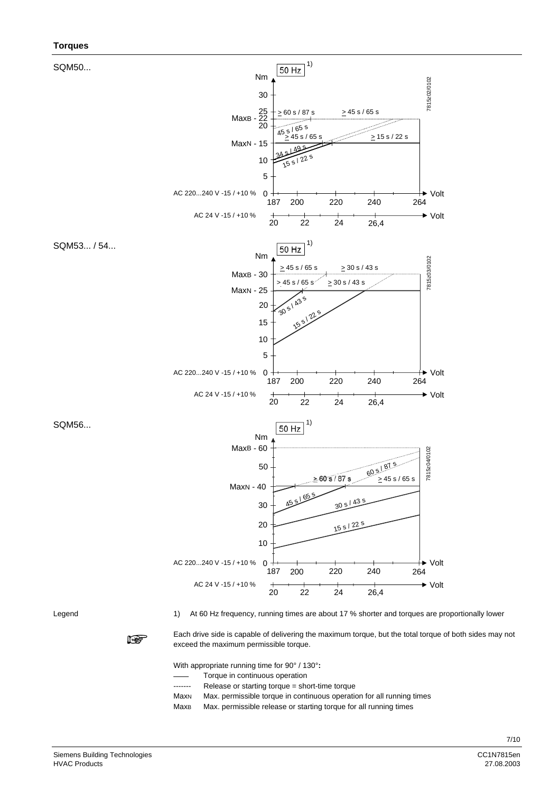#### **Torques**



Legend

1) At 60 Hz frequency, running times are about 17 % shorter and torques are proportionally lower



Each drive side is capable of delivering the maximum torque, but the total torque of both sides may not exceed the maximum permissible torque.

With appropriate running time for 90° / 130°**:**

- Torque in continuous operation
- ------- Release or starting torque = short-time torque
- MaxN Max. permissible torque in continuous operation for all running times
- MaxB Max. permissible release or starting torque for all running times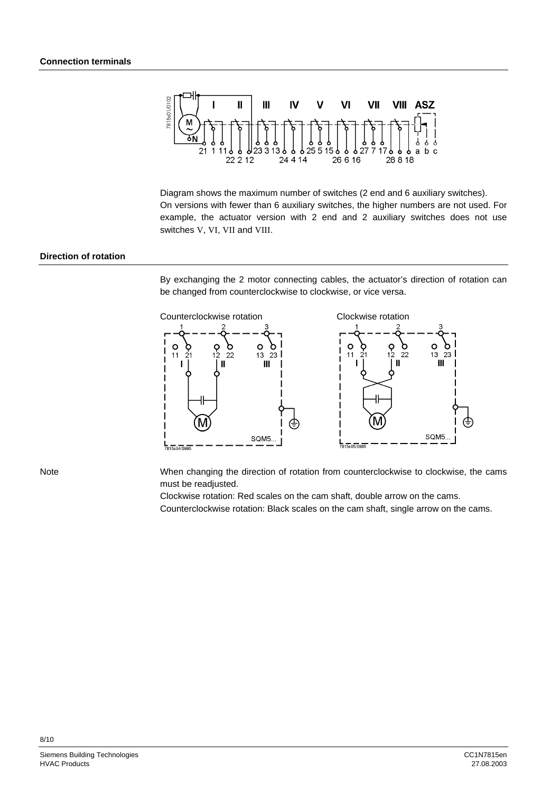

Diagram shows the maximum number of switches (2 end and 6 auxiliary switches). On versions with fewer than 6 auxiliary switches, the higher numbers are not used. For example, the actuator version with 2 end and 2 auxiliary switches does not use switches V, VI, VII and VIII.

#### **Direction of rotation**

By exchanging the 2 motor connecting cables, the actuator's direction of rotation can be changed from counterclockwise to clockwise, or vice versa.



Note

When changing the direction of rotation from counterclockwise to clockwise, the cams must be readjusted.

Clockwise rotation: Red scales on the cam shaft, double arrow on the cams. Counterclockwise rotation: Black scales on the cam shaft, single arrow on the cams.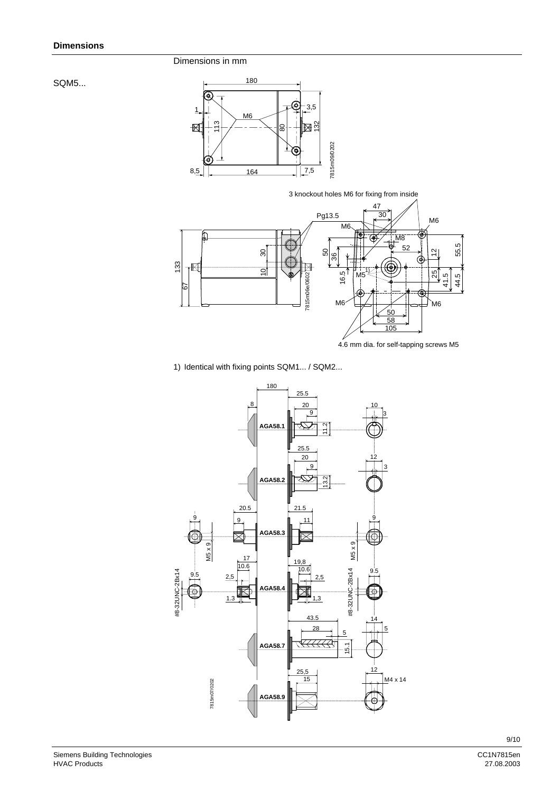Dimensions in mm

SQM5...



3 knockout holes M6 for fixing from inside



1) Identical with fixing points SQM1... / SQM2...